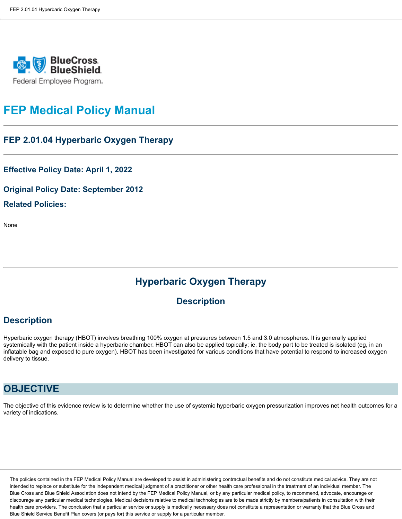

# **FEP Medical Policy Manual**

#### **FEP 2.01.04 Hyperbaric Oxygen Therapy**

**Effective Policy Date: April 1, 2022**

**Original Policy Date: September 2012 Related Policies:**

None

# **Hyperbaric Oxygen Therapy**

#### **Description**

### **Description**

Hyperbaric oxygen therapy (HBOT) involves breathing 100% oxygen at pressures between 1.5 and 3.0 atmospheres. It is generally applied systemically with the patient inside a hyperbaric chamber. HBOT can also be applied topically; ie, the body part to be treated is isolated (eg, in an inflatable bag and exposed to pure oxygen). HBOT has been investigated for various conditions that have potential to respond to increased oxygen delivery to tissue.

# **OBJECTIVE**

The objective of this evidence review is to determine whether the use of systemic hyperbaric oxygen pressurization improves net health outcomes for a variety of indications.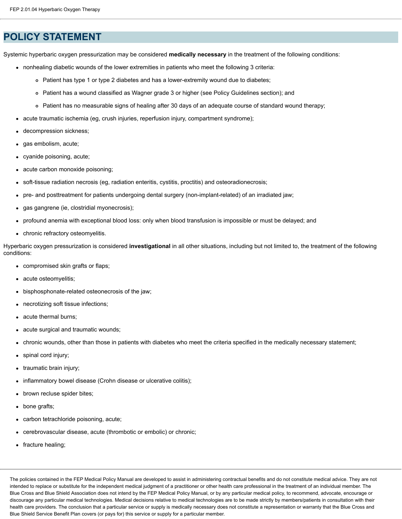### **POLICY STATEMENT**

Systemic hyperbaric oxygen pressurization may be considered **medically necessary** in the treatment of the following conditions:

- nonhealing diabetic wounds of the lower extremities in patients who meet the following 3 criteria:
	- Patient has type 1 or type 2 diabetes and has a lower-extremity wound due to diabetes;
	- Patient has a wound classified as Wagner grade 3 or higher (see Policy Guidelines section); and
	- Patient has no measurable signs of healing after 30 days of an adequate course of standard wound therapy;
- acute traumatic ischemia (eg, crush injuries, reperfusion injury, compartment syndrome);
- decompression sickness;
- gas embolism, acute;
- cyanide poisoning, acute;
- acute carbon monoxide poisoning;
- soft-tissue radiation necrosis (eg, radiation enteritis, cystitis, proctitis) and osteoradionecrosis;  $\bullet$
- pre- and posttreatment for patients undergoing dental surgery (non-implant-related) of an irradiated jaw;
- gas gangrene (ie, clostridial myonecrosis);  $\bullet$
- profound anemia with exceptional blood loss: only when blood transfusion is impossible or must be delayed; and  $\bullet$
- chronic refractory osteomyelitis.

Hyperbaric oxygen pressurization is considered **investigational** in all other situations, including but not limited to, the treatment of the following conditions:

- compromised skin grafts or flaps;
- acute osteomyelitis;  $\bullet$
- bisphosphonate-related osteonecrosis of the jaw;  $\bullet$
- necrotizing soft tissue infections;  $\bullet$
- acute thermal burns;
- acute surgical and traumatic wounds;
- chronic wounds, other than those in patients with diabetes who meet the criteria specified in the medically necessary statement;
- spinal cord injury;  $\bullet$
- traumatic brain injury;
- inflammatory bowel disease (Crohn disease or ulcerative colitis);
- brown recluse spider bites;
- bone grafts;  $\bullet$
- carbon tetrachloride poisoning, acute;  $\bullet$
- cerebrovascular disease, acute (thrombotic or embolic) or chronic;
- fracture healing;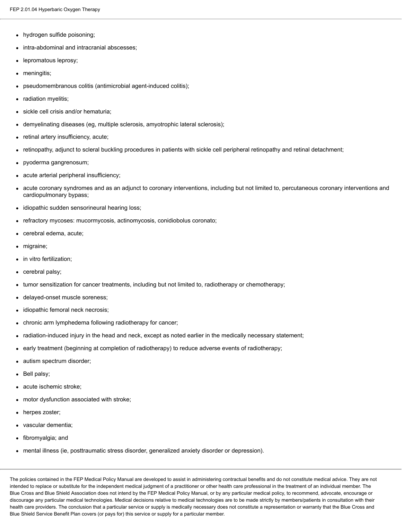- hydrogen sulfide poisoning;
- intra-abdominal and intracranial abscesses;
- lepromatous leprosy;  $\bullet$
- meningitis;  $\bullet$
- pseudomembranous colitis (antimicrobial agent-induced colitis);
- radiation myelitis;  $\bullet$
- sickle cell crisis and/or hematuria;
- demyelinating diseases (eg, multiple sclerosis, amyotrophic lateral sclerosis);  $\bullet$
- retinal artery insufficiency, acute;
- retinopathy, adjunct to scleral buckling procedures in patients with sickle cell peripheral retinopathy and retinal detachment;
- pyoderma gangrenosum;
- acute arterial peripheral insufficiency;
- acute coronary syndromes and as an adjunct to coronary interventions, including but not limited to, percutaneous coronary interventions and cardiopulmonary bypass;
- idiopathic sudden sensorineural hearing loss;  $\bullet$
- refractory mycoses: mucormycosis, actinomycosis, conidiobolus coronato;
- cerebral edema, acute;
- migraine;  $\bullet$
- in vitro fertilization;
- cerebral palsy;
- tumor sensitization for cancer treatments, including but not limited to, radiotherapy or chemotherapy;
- delayed-onset muscle soreness;  $\bullet$
- idiopathic femoral neck necrosis;
- chronic arm lymphedema following radiotherapy for cancer;
- radiation-induced injury in the head and neck, except as noted earlier in the medically necessary statement;
- early treatment (beginning at completion of radiotherapy) to reduce adverse events of radiotherapy;
- autism spectrum disorder;
- Bell palsy;  $\bullet$
- acute ischemic stroke;
- motor dysfunction associated with stroke;
- herpes zoster;  $\bullet$
- vascular dementia;
- fibromyalgia; and
- mental illness (ie, posttraumatic stress disorder, generalized anxiety disorder or depression).  $\bullet$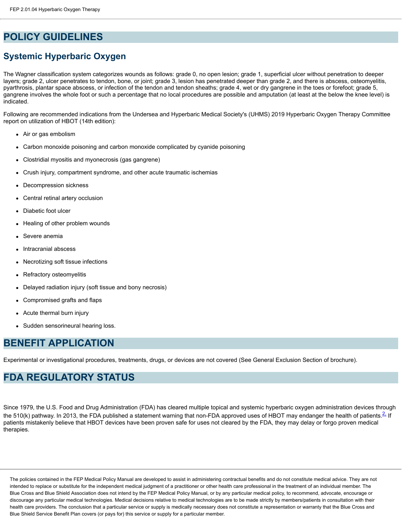# **POLICY GUIDELINES**

# **Systemic Hyperbaric Oxygen**

The Wagner classification system categorizes wounds as follows: grade 0, no open lesion; grade 1, superficial ulcer without penetration to deeper layers; grade 2, ulcer penetrates to tendon, bone, or joint; grade 3, lesion has penetrated deeper than grade 2, and there is abscess, osteomyelitis, pyarthrosis, plantar space abscess, or infection of the tendon and tendon sheaths; grade 4, wet or dry gangrene in the toes or forefoot; grade 5, gangrene involves the whole foot or such a percentage that no local procedures are possible and amputation (at least at the below the knee level) is indicated.

Following are recommended indications from the Undersea and Hyperbaric Medical Society's (UHMS) 2019 Hyperbaric Oxygen Therapy Committee report on utilization of HBOT (14th edition):

- Air or gas embolism
- Carbon monoxide poisoning and carbon monoxide complicated by cyanide poisoning
- Clostridial myositis and myonecrosis (gas gangrene)  $\bullet$
- Crush injury, compartment syndrome, and other acute traumatic ischemias
- Decompression sickness  $\bullet$
- Central retinal artery occlusion
- Diabetic foot ulcer
- Healing of other problem wounds
- Severe anemia
- Intracranial abscess
- Necrotizing soft tissue infections
- Refractory osteomyelitis
- Delayed radiation injury (soft tissue and bony necrosis)
- Compromised grafts and flaps
- Acute thermal burn injury
- Sudden sensorineural hearing loss.

### **BENEFIT APPLICATION**

Experimental or investigational procedures, treatments, drugs, or devices are not covered (See General Exclusion Section of brochure).

# **FDA REGULATORY STATUS**

Since 1979, the U.S. Food and Drug Administration (FDA) has cleared multiple topical and systemic hyperbaric oxygen administration devices through the 510(k) pathway. In 2013, the FDA published a statement warning that non-FDA approved uses of HBOT may endanger the health of patients. If If patients mistakenly believe that HBOT devices have been proven safe for uses not cleared by the FDA, they may delay or forgo proven medical therapies.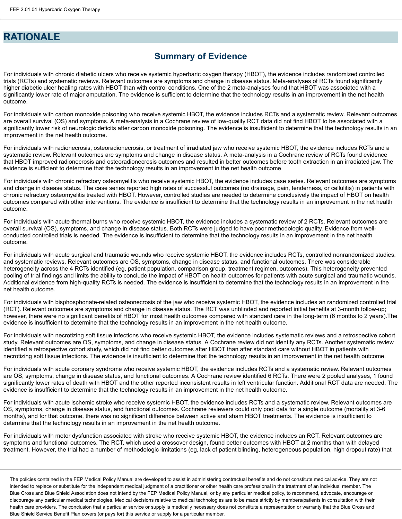### **RATIONALE**

### **Summary of Evidence**

For individuals with chronic diabetic ulcers who receive systemic hyperbaric oxygen therapy (HBOT), the evidence includes randomized controlled trials (RCTs) and systematic reviews. Relevant outcomes are symptoms and change in disease status. Meta-analyses of RCTs found significantly higher diabetic ulcer healing rates with HBOT than with control conditions. One of the 2 meta-analyses found that HBOT was associated with a significantly lower rate of major amputation. The evidence is sufficient to determine that the technology results in an improvement in the net health outcome.

For individuals with carbon monoxide poisoning who receive systemic HBOT, the evidence includes RCTs and a systematic review. Relevant outcomes are overall survival (OS) and symptoms. A meta-analysis in a Cochrane review of low-quality RCT data did not find HBOT to be associated with a significantly lower risk of neurologic deficits after carbon monoxide poisoning. The evidence is insufficient to determine that the technology results in an improvement in the net health outcome.

For individuals with radionecrosis, osteoradionecrosis, or treatment of irradiated jaw who receive systemic HBOT, the evidence includes RCTs and a systematic review. Relevant outcomes are symptoms and change in disease status. A meta-analysis in a Cochrane review of RCTs found evidence that HBOT improved radionecrosis and osteoradionecrosis outcomes and resulted in better outcomes before tooth extraction in an irradiated jaw. The evidence is sufficient to determine that the technology results in an improvement in the net health outcome

For individuals with chronic refractory osteomyelitis who receive systemic HBOT, the evidence includes case series. Relevant outcomes are symptoms and change in disease status. The case series reported high rates of successful outcomes (no drainage, pain, tenderness, or cellulitis) in patients with chronic refractory osteomyelitis treated with HBOT. However, controlled studies are needed to determine conclusively the impact of HBOT on health outcomes compared with other interventions. The evidence is insufficient to determine that the technology results in an improvement in the net health outcome.

For individuals with acute thermal burns who receive systemic HBOT, the evidence includes a systematic review of 2 RCTs. Relevant outcomes are overall survival (OS), symptoms, and change in disease status. Both RCTs were judged to have poor methodologic quality. Evidence from wellconducted controlled trials is needed. The evidence is insufficient to determine that the technology results in an improvement in the net health outcome.

For individuals with acute surgical and traumatic wounds who receive systemic HBOT, the evidence includes RCTs, controlled nonrandomized studies, and systematic reviews. Relevant outcomes are OS, symptoms, change in disease status, and functional outcomes. There was considerable heterogeneity across the 4 RCTs identified (eg, patient population, comparison group, treatment regimen, outcomes). This heterogeneity prevented pooling of trial findings and limits the ability to conclude the impact of HBOT on health outcomes for patients with acute surgical and traumatic wounds. Additional evidence from high-quality RCTs is needed. The evidence is insufficient to determine that the technology results in an improvement in the net health outcome.

For individuals with bisphosphonate-related osteonecrosis of the jaw who receive systemic HBOT, the evidence includes an randomized controlled trial (RCT). Relevant outcomes are symptoms and change in disease status. The RCT was unblinded and reported initial benefits at 3-month follow-up; however, there were no significant benefits of HBOT for most health outcomes compared with standard care in the long-term (6 months to 2 years).The evidence is insufficient to determine that the technology results in an improvement in the net health outcome.

For individuals with necrotizing soft tissue infections who receive systemic HBOT, the evidence includes systematic reviews and a retrospective cohort study. Relevant outcomes are OS, symptoms, and change in disease status. A Cochrane review did not identify any RCTs. Another systematic review identified a retrospective cohort study, which did not find better outcomes after HBOT than after standard care without HBOT in patients with necrotizing soft tissue infections. The evidence is insufficient to determine that the technology results in an improvement in the net health outcome.

For individuals with acute coronary syndrome who receive systemic HBOT, the evidence includes RCTs and a systematic review. Relevant outcomes are OS, symptoms, change in disease status, and functional outcomes. A Cochrane review identified 6 RCTs. There were 2 pooled analyses, 1 found significantly lower rates of death with HBOT and the other reported inconsistent results in left ventricular function. Additional RCT data are needed. The evidence is insufficient to determine that the technology results in an improvement in the net health outcome.

For individuals with acute ischemic stroke who receive systemic HBOT, the evidence includes RCTs and a systematic review. Relevant outcomes are OS, symptoms, change in disease status, and functional outcomes. Cochrane reviewers could only pool data for a single outcome (mortality at 3-6 months), and for that outcome, there was no significant difference between active and sham HBOT treatments. The evidence is insufficient to determine that the technology results in an improvement in the net health outcome.

For individuals with motor dysfunction associated with stroke who receive systemic HBOT, the evidence includes an RCT. Relevant outcomes are symptoms and functional outcomes. The RCT, which used a crossover design, found better outcomes with HBOT at 2 months than with delayed treatment. However, the trial had a number of methodologic limitations (eg, lack of patient blinding, heterogeneous population, high dropout rate) that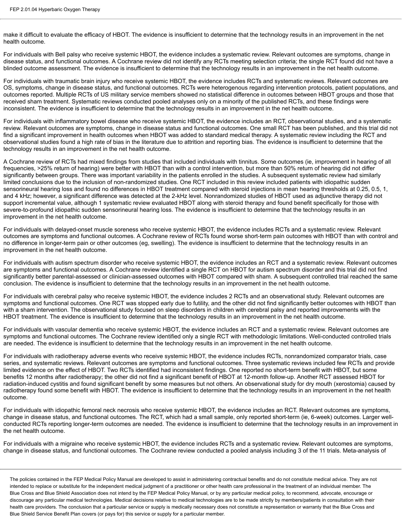make it difficult to evaluate the efficacy of HBOT. The evidence is insufficient to determine that the technology results in an improvement in the net health outcome.

For individuals with Bell palsy who receive systemic HBOT, the evidence includes a systematic review. Relevant outcomes are symptoms, change in disease status, and functional outcomes. A Cochrane review did not identify any RCTs meeting selection criteria; the single RCT found did not have a blinded outcome assessment. The evidence is insufficient to determine that the technology results in an improvement in the net health outcome.

For individuals with traumatic brain injury who receive systemic HBOT, the evidence includes RCTs and systematic reviews. Relevant outcomes are OS, symptoms, change in disease status, and functional outcomes. RCTs were heterogenous regarding intervention protocols, patient populations, and outcomes reported. Multiple RCTs of US military service members showed no statistical difference in outcomes between HBOT groups and those that received sham treatment. Systematic reviews conducted pooled analyses only on a minority of the published RCTs, and these findings were inconsistent. The evidence is insufficient to determine that the technology results in an improvement in the net health outcome.

For individuals with inflammatory bowel disease who receive systemic HBOT, the evidence includes an RCT, observational studies, and a systematic review. Relevant outcomes are symptoms, change in disease status and functional outcomes. One small RCT has been published, and this trial did not find a significant improvement in health outcomes when HBOT was added to standard medical therapy. A systematic review including the RCT and observational studies found a high rate of bias in the literature due to attrition and reporting bias. The evidence is insufficient to determine that the technology results in an improvement in the net health outcome.

A Cochrane review of RCTs had mixed findings from studies that included individuals with tinnitus. Some outcomes (ie, improvement in hearing of all frequencies, >25% return of hearing) were better with HBOT than with a control intervention, but more than 50% return of hearing did not differ significantly between groups. There was important variability in the patients enrolled in the studies. A subsequent systematic review had similarly limited conclusions due to the inclusion of non-randomized studies. One RCT included in this review included patients with idiopathic sudden sensorineural hearing loss and found no differences in HBOT treatment compared with steroid injections in mean hearing thresholds at 0.25, 0.5, 1, and 4 kHz; however, a significant difference was detected at the 2-kHz level. Nonrandomized studies of HBOT used as adjunctive therapy did not support incremental value, although 1 systematic review evaluated HBOT along with steroid therapy and found benefit specifically for those with severe-to-profound idiopathic sudden sensorineural hearing loss. The evidence is insufficient to determine that the technology results in an improvement in the net health outcome.

For individuals with delayed-onset muscle soreness who receive systemic HBOT, the evidence includes RCTs and a systematic review. Relevant outcomes are symptoms and functional outcomes. A Cochrane review of RCTs found worse short-term pain outcomes with HBOT than with control and no difference in longer-term pain or other outcomes (eg, swelling). The evidence is insufficient to determine that the technology results in an improvement in the net health outcome.

For individuals with autism spectrum disorder who receive systemic HBOT, the evidence includes an RCT and a systematic review. Relevant outcomes are symptoms and functional outcomes. A Cochrane review identified a single RCT on HBOT for autism spectrum disorder and this trial did not find significantly better parental-assessed or clinician-assessed outcomes with HBOT compared with sham. A subsequent controlled trial reached the same conclusion. The evidence is insufficient to determine that the technology results in an improvement in the net health outcome.

For individuals with cerebral palsy who receive systemic HBOT, the evidence includes 2 RCTs and an observational study. Relevant outcomes are symptoms and functional outcomes. One RCT was stopped early due to futility, and the other did not find significantly better outcomes with HBOT than with a sham intervention. The observational study focused on sleep disorders in children with cerebral palsy and reported improvements with the HBOT treatment. The evidence is insufficient to determine that the technology results in an improvement in the net health outcome.

For individuals with vascular dementia who receive systemic HBOT, the evidence includes an RCT and a systematic review. Relevant outcomes are symptoms and functional outcomes. The Cochrane review identified only a single RCT with methodologic limitations. Well-conducted controlled trials are needed. The evidence is insufficient to determine that the technology results in an improvement in the net health outcome.

For individuals with radiotherapy adverse events who receive systemic HBOT, the evidence includes RCTs, nonrandomized comparator trials, case series, and systematic reviews. Relevant outcomes are symptoms and functional outcomes. Three systematic reviews included few RCTs and provide limited evidence on the effect of HBOT. Two RCTs identified had inconsistent findings. One reported no short-term benefit with HBOT, but some benefits 12 months after radiotherapy; the other did not find a significant benefit of HBOT at 12-month follow-up. Another RCT assessed HBOT for radiation-induced cystitis and found significant benefit by some measures but not others. An observational study for dry mouth (xerostomia) caused by radiotherapy found some benefit with HBOT. The evidence is insufficient to determine that the technology results in an improvement in the net health outcome.

For individuals with idiopathic femoral neck necrosis who receive systemic HBOT, the evidence includes an RCT. Relevant outcomes are symptoms, change in disease status, and functional outcomes. The RCT, which had a small sample, only reported short-term (ie, 6-week) outcomes. Larger wellconducted RCTs reporting longer-term outcomes are needed. The evidence is insufficient to determine that the technology results in an improvement in the net health outcome.

For individuals with a migraine who receive systemic HBOT, the evidence includes RCTs and a systematic review. Relevant outcomes are symptoms, change in disease status, and functional outcomes. The Cochrane review conducted a pooled analysis including 3 of the 11 trials. Meta-analysis of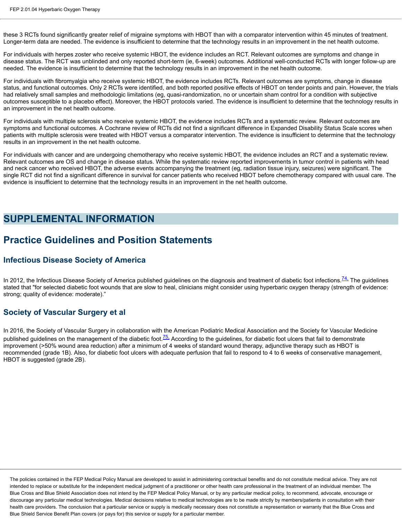these 3 RCTs found significantly greater relief of migraine symptoms with HBOT than with a comparator intervention within 45 minutes of treatment. Longer-term data are needed. The evidence is insufficient to determine that the technology results in an improvement in the net health outcome.

For individuals with herpes zoster who receive systemic HBOT, the evidence includes an RCT. Relevant outcomes are symptoms and change in disease status. The RCT was unblinded and only reported short-term (ie, 6-week) outcomes. Additional well-conducted RCTs with longer follow-up are needed. The evidence is insufficient to determine that the technology results in an improvement in the net health outcome.

For individuals with fibromyalgia who receive systemic HBOT, the evidence includes RCTs. Relevant outcomes are symptoms, change in disease status, and functional outcomes. Only 2 RCTs were identified, and both reported positive effects of HBOT on tender points and pain. However, the trials had relatively small samples and methodologic limitations (eg, quasi-randomization, no or uncertain sham control for a condition with subjective outcomes susceptible to a placebo effect). Moreover, the HBOT protocols varied. The evidence is insufficient to determine that the technology results in an improvement in the net health outcome.

For individuals with multiple sclerosis who receive systemic HBOT, the evidence includes RCTs and a systematic review. Relevant outcomes are symptoms and functional outcomes. A Cochrane review of RCTs did not find a significant difference in Expanded Disability Status Scale scores when patients with multiple sclerosis were treated with HBOT versus a comparator intervention. The evidence is insufficient to determine that the technology results in an improvement in the net health outcome.

For individuals with cancer and are undergoing chemotherapy who receive systemic HBOT, the evidence includes an RCT and a systematic review. Relevant outcomes are OS and change in disease status. While the systematic review reported improvements in tumor control in patients with head and neck cancer who received HBOT, the adverse events accompanying the treatment (eg, radiation tissue injury, seizures) were significant. The single RCT did not find a significant difference in survival for cancer patients who received HBOT before chemotherapy compared with usual care. The evidence is insufficient to determine that the technology results in an improvement in the net health outcome.

## **SUPPLEMENTAL INFORMATION**

# **Practice Guidelines and Position Statements**

#### **Infectious Disease Society of America**

In 2012, the Infectious Disease Society of America published guidelines on the diagnosis and treatment of diabetic foot infections.<sup>74</sup>, The guidelines stated that "for selected diabetic foot wounds that are slow to heal, clinicians might consider using hyperbaric oxygen therapy (strength of evidence: strong; quality of evidence: moderate)."

#### **Society of Vascular Surgery et al**

In 2016, the Society of Vascular Surgery in collaboration with the American Podiatric Medical Association and the Society for Vascular Medicine published guidelines on the management of the diabetic foot. $\frac{75}{6}$  According to the guidelines, for diabetic foot ulcers that fail to demonstrate improvement (>50% wound area reduction) after a minimum of 4 weeks of standard wound therapy, adjunctive therapy such as HBOT is recommended (grade 1B). Also, for diabetic foot ulcers with adequate perfusion that fail to respond to 4 to 6 weeks of conservative management, HBOT is suggested (grade 2B).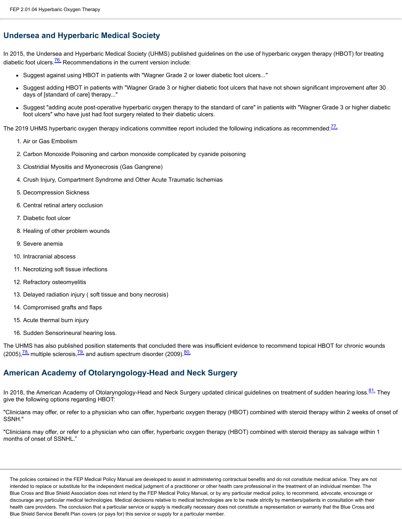### **Undersea and Hyperbaric Medical Society**

In 2015, the Undersea and Hyperbaric Medical Society (UHMS) published guidelines on the use of hyperbaric oxygen therapy (HBOT) for treating diabetic foot ulcers. $\frac{76}{6}$  Recommendations in the current version include:

- Suggest against using HBOT in patients with "Wagner Grade 2 or lower diabetic foot ulcers..."
- Suggest adding HBOT in patients with "Wagner Grade 3 or higher diabetic foot ulcers that have not shown significant improvement after 30 days of [standard of care] therapy..."
- Suggest "adding acute post-operative hyperbaric oxygen therapy to the standard of care" in patients with "Wagner Grade 3 or higher diabetic foot ulcers" who have just had foot surgery related to their diabetic ulcers.

The 2019 UHMS hyperbaric oxygen therapy indications committee report included the following indications as recommended:<sup>[77,](https://www.bcbsaoca.com/eps/_w_580bbc16/FEP_html/_blank)</sup>

- 1. Air or Gas Embolism
- 2. Carbon Monoxide Poisoning and carbon monoxide complicated by cyanide poisoning
- 3. Clostridial Myositis and Myonecrosis (Gas Gangrene)
- 4. Crush Injury, Compartment Syndrome and Other Acute Traumatic Ischemias
- 5. Decompression Sickness
- 6. Central retinal artery occlusion
- 7. Diabetic foot ulcer
- 8. Healing of other problem wounds
- 9. Severe anemia
- 10. Intracranial abscess
- 11. Necrotizing soft tissue infections
- 12. Refractory osteomyelitis
- 13. Delayed radiation injury ( soft tissue and bony necrosis)
- 14. Compromised grafts and flaps
- 15. Acute thermal burn injury
- 16. Sudden Sensorineural hearing loss.

The UHMS has also published position statements that concluded there was insufficient evidence to recommend topical HBOT for chronic wounds (2005), $\frac{78}{10}$  multiple sclerosis, $\frac{79}{10}$  and autism spectrum disorder (2009). $\frac{80}{10}$ 

### **American Academy of Otolaryngology-Head and Neck Surgery**

In 2018, the American Academy of Otolaryngology-Head and Neck Surgery updated clinical guidelines on treatment of sudden hearing loss. [81,](https://www.bcbsaoca.com/eps/_w_580bbc16/FEP_html/_blank) They give the following options regarding HBOT:

"Clinicians may offer, or refer to a physician who can offer, hyperbaric oxygen therapy (HBOT) combined with steroid therapy within 2 weeks of onset of SSNH."

"Clinicians may offer, or refer to a physician who can offer, hyperbaric oxygen therapy (HBOT) combined with steroid therapy as salvage within 1 months of onset of SSNHL."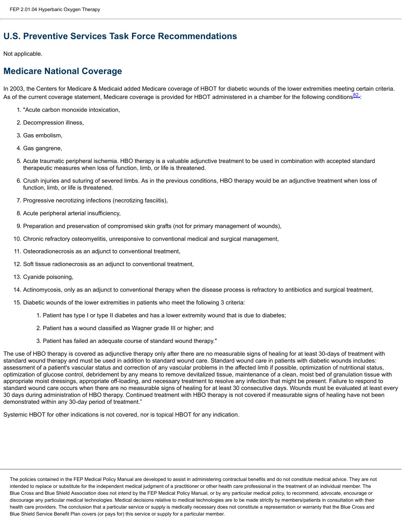## **U.S. Preventive Services Task Force Recommendations**

#### Not applicable.

# **Medicare National Coverage**

In 2003, the Centers for Medicare & Medicaid added Medicare coverage of HBOT for diabetic wounds of the lower extremities meeting certain criteria. As of the current coverage statement, Medicare coverage is provided for HBOT administered in a chamber for the following conditions 82.

- 1. "Acute carbon monoxide intoxication,
- 2. Decompression illness,
- 3. Gas embolism,
- 4. Gas gangrene,
- 5. Acute traumatic peripheral ischemia. HBO therapy is a valuable adjunctive treatment to be used in combination with accepted standard therapeutic measures when loss of function, limb, or life is threatened.
- 6. Crush injuries and suturing of severed limbs. As in the previous conditions, HBO therapy would be an adjunctive treatment when loss of function, limb, or life is threatened.
- 7. Progressive necrotizing infections (necrotizing fasciitis),
- 8. Acute peripheral arterial insufficiency,
- 9. Preparation and preservation of compromised skin grafts (not for primary management of wounds),
- 10. Chronic refractory osteomyelitis, unresponsive to conventional medical and surgical management,
- 11. Osteoradionecrosis as an adjunct to conventional treatment,
- 12. Soft tissue radionecrosis as an adjunct to conventional treatment,
- 13. Cyanide poisoning,
- 14. Actinomycosis, only as an adjunct to conventional therapy when the disease process is refractory to antibiotics and surgical treatment,
- 15. Diabetic wounds of the lower extremities in patients who meet the following 3 criteria:
	- 1. Patient has type I or type II diabetes and has a lower extremity wound that is due to diabetes;
	- 2. Patient has a wound classified as Wagner grade III or higher; and
	- 3. Patient has failed an adequate course of standard wound therapy."

The use of HBO therapy is covered as adjunctive therapy only after there are no measurable signs of healing for at least 30-days of treatment with standard wound therapy and must be used in addition to standard wound care. Standard wound care in patients with diabetic wounds includes: assessment of a patient's vascular status and correction of any vascular problems in the affected limb if possible, optimization of nutritional status, optimization of glucose control, debridement by any means to remove devitalized tissue, maintenance of a clean, moist bed of granulation tissue with appropriate moist dressings, appropriate off-loading, and necessary treatment to resolve any infection that might be present. Failure to respond to standard wound care occurs when there are no measurable signs of healing for at least 30 consecutive days. Wounds must be evaluated at least every 30 days during administration of HBO therapy. Continued treatment with HBO therapy is not covered if measurable signs of healing have not been demonstrated within any 30-day period of treatment."

Systemic HBOT for other indications is not covered, nor is topical HBOT for any indication.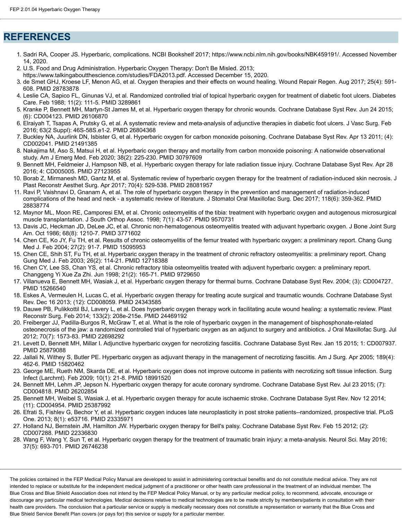### **REFERENCES**

- 1. Sadri RA, Cooper JS. Hyperbaric, complications. NCBI Bookshelf 2017; https://www.ncbi.nlm.nih.gov/books/NBK459191/. Accessed November 14, 2020.
- 2. U.S. Food and Drug Administration. Hyperbaric Oxygen Therapy: Don't Be Misled. 2013;
- https://www.talkingaboutthescience.com/studies/FDA2013.pdf. Accessed December 15, 2020.
- 3. de Smet GHJ, Kroese LF, Menon AG, et al. Oxygen therapies and their effects on wound healing. Wound Repair Regen. Aug 2017; 25(4): 591- 608. PMID 28783878
- 4. Leslie CA, Sapico FL, Ginunas VJ, et al. Randomized controlled trial of topical hyperbaric oxygen for treatment of diabetic foot ulcers. Diabetes Care. Feb 1988; 11(2): 111-5. PMID 3289861
- 5. Kranke P, Bennett MH, Martyn-St James M, et al. Hyperbaric oxygen therapy for chronic wounds. Cochrane Database Syst Rev. Jun 24 2015; (6): CD004123. PMID 26106870
- 6. Elraiyah T, Tsapas A, Prutsky G, et al. A systematic review and meta-analysis of adjunctive therapies in diabetic foot ulcers. J Vasc Surg. Feb 2016; 63(2 Suppl): 46S-58S.e1-2. PMID 26804368
- 7. Buckley NA, Juurlink DN, Isbister G, et al. Hyperbaric oxygen for carbon monoxide poisoning. Cochrane Database Syst Rev. Apr 13 2011; (4): CD002041. PMID 21491385
- 8. Nakajima M, Aso S, Matsui H, et al. Hyperbaric oxygen therapy and mortality from carbon monoxide poisoning: A nationwide observational study. Am J Emerg Med. Feb 2020; 38(2): 225-230. PMID 30797609
- 9. Bennett MH, Feldmeier J, Hampson NB, et al. Hyperbaric oxygen therapy for late radiation tissue injury. Cochrane Database Syst Rev. Apr 28 2016; 4: CD005005. PMID 27123955
- 10. Borab Z, Mirmanesh MD, Gantz M, et al. Systematic review of hyperbaric oxygen therapy for the treatment of radiation-induced skin necrosis. J Plast Reconstr Aesthet Surg. Apr 2017; 70(4): 529-538. PMID 28081957
- 11. Ravi P, Vaishnavi D, Gnanam A, et al. The role of hyperbaric oxygen therapy in the prevention and management of radiation-induced complications of the head and neck - a systematic review of literature. J Stomatol Oral Maxillofac Surg. Dec 2017; 118(6): 359-362. PMID 28838774
- 12. Maynor ML, Moon RE, Camporesi EM, et al. Chronic osteomyelitis of the tibia: treatment with hyperbaric oxygen and autogenous microsurgical muscle transplantation. J South Orthop Assoc. 1998; 7(1): 43-57. PMID 9570731
- 13. Davis JC, Heckman JD, DeLee JC, et al. Chronic non-hematogenous osteomyelitis treated with adjuvant hyperbaric oxygen. J Bone Joint Surg Am. Oct 1986; 68(8): 1210-7. PMID 3771602
- 14. Chen CE, Ko JY, Fu TH, et al. Results of chronic osteomyelitis of the femur treated with hyperbaric oxygen: a preliminary report. Chang Gung Med J. Feb 2004; 27(2): 91-7. PMID 15095953
- 15. Chen CE, Shih ST, Fu TH, et al. Hyperbaric oxygen therapy in the treatment of chronic refractory osteomyelitis: a preliminary report. Chang Gung Med J. Feb 2003; 26(2): 114-21. PMID 12718388
- 16. Chen CY, Lee SS, Chan YS, et al. Chronic refractory tibia osteomyelitis treated with adjuvent hyperbaric oxygen: a preliminary report. Changgeng Yi Xue Za Zhi. Jun 1998; 21(2): 165-71. PMID 9729650
- 17. Villanueva E, Bennett MH, Wasiak J, et al. Hyperbaric oxygen therapy for thermal burns. Cochrane Database Syst Rev. 2004; (3): CD004727. PMID 15266540
- 18. Eskes A, Vermeulen H, Lucas C, et al. Hyperbaric oxygen therapy for treating acute surgical and traumatic wounds. Cochrane Database Syst Rev. Dec 16 2013; (12): CD008059. PMID 24343585
- 19. Dauwe PB, Pulikkottil BJ, Lavery L, et al. Does hyperbaric oxygen therapy work in facilitating acute wound healing: a systematic review. Plast Reconstr Surg. Feb 2014; 133(2): 208e-215e. PMID 24469192
- 20. Freiberger JJ, Padilla-Burgos R, McGraw T, et al. What is the role of hyperbaric oxygen in the management of bisphosphonate-related osteonecrosis of the jaw: a randomized controlled trial of hyperbaric oxygen as an adjunct to surgery and antibiotics. J Oral Maxillofac Surg. Jul 2012; 70(7): 1573-83. PMID 22698292
- 21. Levett D, Bennett MH, Millar I. Adjunctive hyperbaric oxygen for necrotizing fasciitis. Cochrane Database Syst Rev. Jan 15 2015; 1: CD007937. PMID 25879088
- 22. Jallali N, Withey S, Butler PE. Hyperbaric oxygen as adjuvant therapy in the management of necrotizing fasciitis. Am J Surg. Apr 2005; 189(4): 462-6. PMID 15820462
- 23. George ME, Rueth NM, Skarda DE, et al. Hyperbaric oxygen does not improve outcome in patients with necrotizing soft tissue infection. Surg Infect (Larchmt). Feb 2009; 10(1): 21-8. PMID 18991520
- 24. Bennett MH, Lehm JP, Jepson N. Hyperbaric oxygen therapy for acute coronary syndrome. Cochrane Database Syst Rev. Jul 23 2015; (7): CD004818. PMID 26202854
- 25. Bennett MH, Weibel S, Wasiak J, et al. Hyperbaric oxygen therapy for acute ischaemic stroke. Cochrane Database Syst Rev. Nov 12 2014; (11): CD004954. PMID 25387992
- 26. Efrati S, Fishlev G, Bechor Y, et al. Hyperbaric oxygen induces late neuroplasticity in post stroke patients--randomized, prospective trial. PLoS One. 2013; 8(1): e53716. PMID 23335971
- 27. Holland NJ, Bernstein JM, Hamilton JW. Hyperbaric oxygen therapy for Bell's palsy. Cochrane Database Syst Rev. Feb 15 2012; (2): CD007288. PMID 22336830
- 28. Wang F, Wang Y, Sun T, et al. Hyperbaric oxygen therapy for the treatment of traumatic brain injury: a meta-analysis. Neurol Sci. May 2016; 37(5): 693-701. PMID 26746238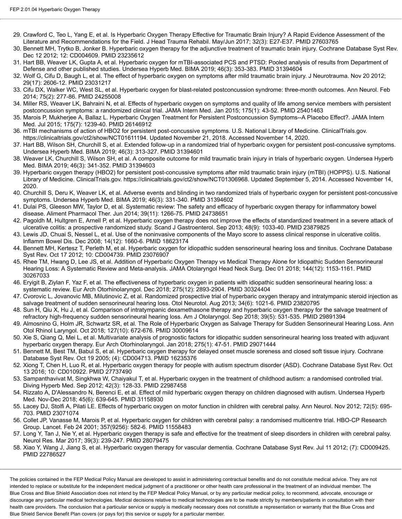- 29. Crawford C, Teo L, Yang E, et al. Is Hyperbaric Oxygen Therapy Effective for Traumatic Brain Injury? A Rapid Evidence Assessment of the Literature and Recommendations for the Field. J Head Trauma Rehabil. May/Jun 2017; 32(3): E27-E37. PMID 27603765
- 30. Bennett MH, Trytko B, Jonker B. Hyperbaric oxygen therapy for the adjunctive treatment of traumatic brain injury. Cochrane Database Syst Rev. Dec 12 2012; 12: CD004609. PMID 23235612
- 31. Hart BB, Weaver LK, Gupta A, et al. Hyperbaric oxygen for mTBI-associated PCS and PTSD: Pooled analysis of results from Department of Defense and other published studies. Undersea Hyperb Med. BIMA 2019; 46(3): 353-383. PMID 31394604
- 32. Wolf G, Cifu D, Baugh L, et al. The effect of hyperbaric oxygen on symptoms after mild traumatic brain injury. J Neurotrauma. Nov 20 2012; 29(17): 2606-12. PMID 23031217
- 33. Cifu DX, Walker WC, West SL, et al. Hyperbaric oxygen for blast-related postconcussion syndrome: three-month outcomes. Ann Neurol. Feb 2014; 75(2): 277-86. PMID 24255008
- 34. Miller RS, Weaver LK, Bahraini N, et al. Effects of hyperbaric oxygen on symptoms and quality of life among service members with persistent postconcussion symptoms: a randomized clinical trial. JAMA Intern Med. Jan 2015; 175(1): 43-52. PMID 25401463
- 35. Marois P, Mukherjee A, Ballaz L. Hyperbaric Oxygen Treatment for Persistent Postconcussion Symptoms--A Placebo Effect?. JAMA Intern Med. Jul 2015; 175(7): 1239-40. PMID 26146912
- 36. mTBI mechanisms of action of HBO2 for persistent post-concussive symptoms. U.S. National Library of Medicine. ClinicalTrials.gov. https://clinicaltrials.gov/ct2/show/NCT01611194. Updated November 21, 2018. Accessed November 14, 2020.
- 37. Hart BB, Wilson SH, Churchill S, et al. Extended follow-up in a randomized trial of hyperbaric oxygen for persistent post-concussive symptoms. Undersea Hyperb Med. BIMA 2019; 46(3): 313-327. PMID 31394601
- 38. Weaver LK, Churchill S, Wilson SH, et al. A composite outcome for mild traumatic brain injury in trials of hyperbaric oxygen. Undersea Hyperb Med. BIMA 2019; 46(3): 341-352. PMID 31394603
- 39. Hyperbaric oxygen therapy (HBO2) for persistent post-concussive symptoms after mild traumatic brain injury (mTBI) (HOPPS). U.S. National Library of Medicine. ClinicalTrials.gov. https://clinicaltrials.gov/ct2/show/NCT01306968. Updated September 5, 2014. Accessed November 14, 2020.
- 40. Churchill S, Deru K, Weaver LK, et al. Adverse events and blinding in two randomized trials of hyperbaric oxygen for persistent post-concussive symptoms. Undersea Hyperb Med. BIMA 2019; 46(3): 331-340. PMID 31394602
- 41. Dulai PS, Gleeson MW, Taylor D, et al. Systematic review: The safety and efficacy of hyperbaric oxygen therapy for inflammatory bowel disease. Aliment Pharmacol Ther. Jun 2014; 39(11): 1266-75. PMID 24738651
- 42. Pagoldh M, Hultgren E, Arnell P, et al. Hyperbaric oxygen therapy does not improve the effects of standardized treatment in a severe attack of ulcerative colitis: a prospective randomized study. Scand J Gastroenterol. Sep 2013; 48(9): 1033-40. PMID 23879825
- 43. Lewis JD, Chuai S, Nessel L, et al. Use of the noninvasive components of the Mayo score to assess clinical response in ulcerative colitis. Inflamm Bowel Dis. Dec 2008; 14(12): 1660-6. PMID 18623174
- 44. Bennett MH, Kertesz T, Perleth M, et al. Hyperbaric oxygen for idiopathic sudden sensorineural hearing loss and tinnitus. Cochrane Database Syst Rev. Oct 17 2012; 10: CD004739. PMID 23076907
- 45. Rhee TM, Hwang D, Lee JS, et al. Addition of Hyperbaric Oxygen Therapy vs Medical Therapy Alone for Idiopathic Sudden Sensorineural Hearing Loss: A Systematic Review and Meta-analysis. JAMA Otolaryngol Head Neck Surg. Dec 01 2018; 144(12): 1153-1161. PMID 30267033
- 46. Eryigit B, Ziylan F, Yaz F, et al. The effectiveness of hyperbaric oxygen in patients with idiopathic sudden sensorineural hearing loss: a systematic review. Eur Arch Otorhinolaryngol. Dec 2018; 275(12): 2893-2904. PMID 30324404
- 47. Cvorovic L, Jovanovic MB, Milutinovic Z, et al. Randomized prospective trial of hyperbaric oxygen therapy and intratympanic steroid injection as salvage treatment of sudden sensorineural hearing loss. Otol Neurotol. Aug 2013; 34(6): 1021-6. PMID 23820795
- 48. Sun H, Qiu X, Hu J, et al. Comparison of intratympanic dexamethasone therapy and hyperbaric oxygen therapy for the salvage treatment of refractory high-frequency sudden sensorineural hearing loss. Am J Otolaryngol. Sep 2018; 39(5): 531-535. PMID 29891394
- 49. Almosnino G, Holm JR, Schwartz SR, et al. The Role of Hyperbaric Oxygen as Salvage Therapy for Sudden Sensorineural Hearing Loss. Ann Otol Rhinol Laryngol. Oct 2018; 127(10): 672-676. PMID 30009614
- 50. Xie S, Qiang Q, Mei L, et al. Multivariate analysis of prognostic factors for idiopathic sudden sensorineural hearing loss treated with adjuvant hyperbaric oxygen therapy. Eur Arch Otorhinolaryngol. Jan 2018; 275(1): 47-51. PMID 29071444
- 51. Bennett M, Best TM, Babul S, et al. Hyperbaric oxygen therapy for delayed onset muscle soreness and closed soft tissue injury. Cochrane Database Syst Rev. Oct 19 2005; (4): CD004713. PMID 16235376
- 52. Xiong T, Chen H, Luo R, et al. Hyperbaric oxygen therapy for people with autism spectrum disorder (ASD). Cochrane Database Syst Rev. Oct 13 2016; 10: CD010922. PMID 27737490
- 53. Sampanthavivat M, Singkhwa W, Chaiyakul T, et al. Hyperbaric oxygen in the treatment of childhood autism: a randomised controlled trial. Diving Hyperb Med. Sep 2012; 42(3): 128-33. PMID 22987458
- 54. Rizzato A, D'Alessandro N, Berenci E, et al. Effect of mild hyperbaric oxygen therapy on children diagnosed with autism. Undersea Hyperb Med. Nov-Dec 2018; 45(6): 639-645. PMID 31158930
- 55. Lacey DJ, Stolfi A, Pilati LE. Effects of hyperbaric oxygen on motor function in children with cerebral palsy. Ann Neurol. Nov 2012; 72(5): 695- 703. PMID 23071074
- 56. Collet JP, Vanasse M, Marois P, et al. Hyperbaric oxygen for children with cerebral palsy: a randomised multicentre trial. HBO-CP Research Group. Lancet. Feb 24 2001; 357(9256): 582-6. PMID 11558483
- 57. Long Y, Tan J, Nie Y, et al. Hyperbaric oxygen therapy is safe and effective for the treatment of sleep disorders in children with cerebral palsy. Neurol Res. Mar 2017; 39(3): 239-247. PMID 28079475
- 58. Xiao Y, Wang J, Jiang S, et al. Hyperbaric oxygen therapy for vascular dementia. Cochrane Database Syst Rev. Jul 11 2012; (7): CD009425. PMID 22786527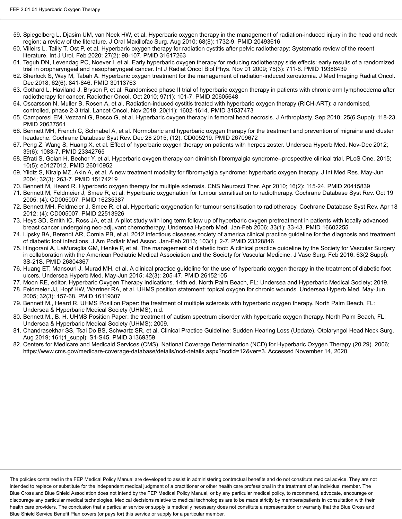- 59. Spiegelberg L, Djasim UM, van Neck HW, et al. Hyperbaric oxygen therapy in the management of radiation-induced injury in the head and neck region: a review of the literature. J Oral Maxillofac Surg. Aug 2010; 68(8): 1732-9. PMID 20493616
- 60. Villeirs L, Tailly T, Ost P, et al. Hyperbaric oxygen therapy for radiation cystitis after pelvic radiotherapy: Systematic review of the recent literature. Int J Urol. Feb 2020; 27(2): 98-107. PMID 31617263
- 61. Teguh DN, Levendag PC, Noever I, et al. Early hyperbaric oxygen therapy for reducing radiotherapy side effects: early results of a randomized trial in oropharyngeal and nasopharyngeal cancer. Int J Radiat Oncol Biol Phys. Nov 01 2009; 75(3): 711-6. PMID 19386439
- 62. Sherlock S, Way M, Tabah A. Hyperbaric oxygen treatment for the management of radiation-induced xerostomia. J Med Imaging Radiat Oncol. Dec 2018; 62(6): 841-846. PMID 30113763
- 63. Gothard L, Haviland J, Bryson P, et al. Randomised phase II trial of hyperbaric oxygen therapy in patients with chronic arm lymphoedema after radiotherapy for cancer. Radiother Oncol. Oct 2010; 97(1): 101-7. PMID 20605648
- 64. Oscarsson N, Muller B, Rosen A, et al. Radiation-induced cystitis treated with hyperbaric oxygen therapy (RICH-ART): a randomised, controlled, phase 2-3 trial. Lancet Oncol. Nov 2019; 20(11): 1602-1614. PMID 31537473
- 65. Camporesi EM, Vezzani G, Bosco G, et al. Hyperbaric oxygen therapy in femoral head necrosis. J Arthroplasty. Sep 2010; 25(6 Suppl): 118-23. PMID 20637561
- 66. Bennett MH, French C, Schnabel A, et al. Normobaric and hyperbaric oxygen therapy for the treatment and prevention of migraine and cluster headache. Cochrane Database Syst Rev. Dec 28 2015; (12): CD005219. PMID 26709672
- 67. Peng Z, Wang S, Huang X, et al. Effect of hyperbaric oxygen therapy on patients with herpes zoster. Undersea Hyperb Med. Nov-Dec 2012; 39(6): 1083-7. PMID 23342765
- 68. Efrati S, Golan H, Bechor Y, et al. Hyperbaric oxygen therapy can diminish fibromyalgia syndrome--prospective clinical trial. PLoS One. 2015; 10(5): e0127012. PMID 26010952
- 69. Yildiz S, Kiralp MZ, Akin A, et al. A new treatment modality for fibromyalgia syndrome: hyperbaric oxygen therapy. J Int Med Res. May-Jun 2004; 32(3): 263-7. PMID 15174219
- 70. Bennett M, Heard R. Hyperbaric oxygen therapy for multiple sclerosis. CNS Neurosci Ther. Apr 2010; 16(2): 115-24. PMID 20415839
- 71. Bennett M, Feldmeier J, Smee R, et al. Hyperbaric oxygenation for tumour sensitisation to radiotherapy. Cochrane Database Syst Rev. Oct 19 2005; (4): CD005007. PMID 16235387
- 72. Bennett MH, Feldmeier J, Smee R, et al. Hyperbaric oxygenation for tumour sensitisation to radiotherapy. Cochrane Database Syst Rev. Apr 18 2012; (4): CD005007. PMID 22513926
- 73. Heys SD, Smith IC, Ross JA, et al. A pilot study with long term follow up of hyperbaric oxygen pretreatment in patients with locally advanced breast cancer undergoing neo-adjuvant chemotherapy. Undersea Hyperb Med. Jan-Feb 2006; 33(1): 33-43. PMID 16602255
- 74. Lipsky BA, Berendt AR, Cornia PB, et al. 2012 infectious diseases society of america clinical practice guideline for the diagnosis and treatment of diabetic foot infections. J Am Podiatr Med Assoc. Jan-Feb 2013; 103(1): 2-7. PMID 23328846
- 75. Hingorani A, LaMuraglia GM, Henke P, et al. The management of diabetic foot: A clinical practice guideline by the Society for Vascular Surgery in collaboration with the American Podiatric Medical Association and the Society for Vascular Medicine. J Vasc Surg. Feb 2016; 63(2 Suppl): 3S-21S. PMID 26804367
- 76. Huang ET, Mansouri J, Murad MH, et al. A clinical practice guideline for the use of hyperbaric oxygen therapy in the treatment of diabetic foot ulcers. Undersea Hyperb Med. May-Jun 2015; 42(3): 205-47. PMID 26152105
- 77. Moon RE, editor. Hyperbaric Oxygen Therapy Indications. 14th ed. North Palm Beach, FL: Undersea and Hyperbaric Medical Society; 2019.
- 78. Feldmeier JJ, Hopf HW, Warriner RA, et al. UHMS position statement: topical oxygen for chronic wounds. Undersea Hyperb Med. May-Jun 2005; 32(3): 157-68. PMID 16119307
- 79. Bennett M., Heard R. UHMS Position Paper: the treatment of multiple sclerosis with hyperbaric oxygen therapy. North Palm Beach, FL: Undersea & Hyperbaric Medical Society (UHMS); n.d.
- 80. Bennett M., B. H. UHMS Position Paper: the treatment of autism spectrum disorder with hyperbaric oxygen therapy. North Palm Beach, FL: Undersea & Hyperbaric Medical Society (UHMS); 2009.
- 81. Chandrasekhar SS, Tsai Do BS, Schwartz SR, et al. Clinical Practice Guideline: Sudden Hearing Loss (Update). Otolaryngol Head Neck Surg. Aug 2019; 161(1\_suppl): S1-S45. PMID 31369359
- 82. Centers for Medicare and Medicaid Services (CMS). National Coverage Determination (NCD) for Hyperbaric Oxygen Therapy (20.29). 2006; https://www.cms.gov/medicare-coverage-database/details/ncd-details.aspx?ncdid=12&ver=3. Accessed November 14, 2020.